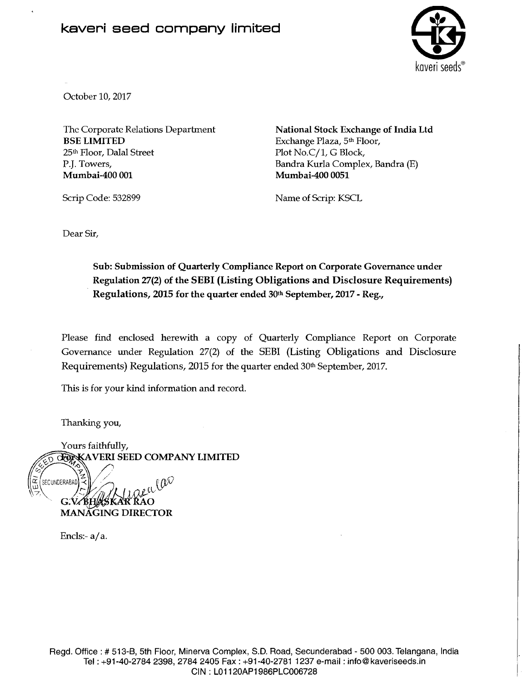## kaveri seed company limited



October 10,2017

Thc Corporatc Relations Department BSE LIMITED 25th Floor, Dalal Street P.J. Towers, Mumbai-400 001

National Stock Exchange of India Ltd Exchange Plaza, 5th Floor, Plot No.C/1, G Block, Bandra Kurla Complex, Bandra (E) Mumbai-400 0051

Scrip Code: 532899

Name of Scrip: KSCL

Dear Sir,

Sub: Submission of Quarterly Compliance Report on Corporate Governance under Regulation 27(2) of the SEBI (Listing Obligations and Disclosure Requirements) Regulations, 2015 for the quarter ended 30th September, 2017 - Reg.,

Please find enclosed herewith a copy of Quarterly Compliance Report on Corporate Governance under Regulation 27(2) of the SEBI (Listing Obligations and Disclosure Requirements) Regulations, 2015 for the quarter ended 30<sup>th</sup> September, 2017.

This is for your kind information and record.

Thanking you,

Yours faithfully,<br>COXXAVERI SEED COMPANY LIMITED SECUNDERABAD (SKAR RAO MANAGING DIRECTOR

Encls:- $a/a$ .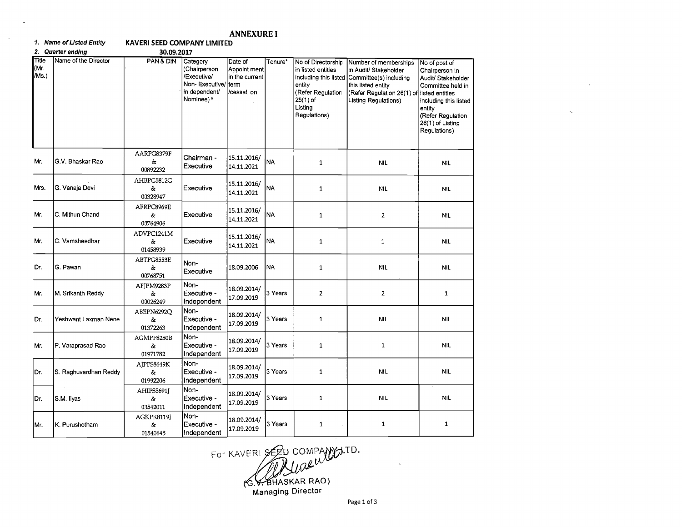## **ANNEXURE I KAVERI SEED COMPANY LIMITED**

1. Name of Listed Entity

|                        | 2. Quarter ending     | 30.09.2017                  |                                                                                         |                                                                   |           |                                                                                                                  |                                                                                                                                                                                            |                                                                                                                                                                        |
|------------------------|-----------------------|-----------------------------|-----------------------------------------------------------------------------------------|-------------------------------------------------------------------|-----------|------------------------------------------------------------------------------------------------------------------|--------------------------------------------------------------------------------------------------------------------------------------------------------------------------------------------|------------------------------------------------------------------------------------------------------------------------------------------------------------------------|
| Title<br>(Mr.<br>/Ms.) | Name of the Director  | PAN & DIN                   | Category<br>(Chairperson<br>Executive/<br>Non-Executive/<br>in dependent/<br>Nominee) * | Date of<br>Appoint ment<br>in the current<br>lterm<br>/cessati on | Tenure*   | No of Directorship<br>in listed entities<br>entity<br>(Refer Regulation<br>$25(1)$ of<br>Listing<br>Regulations) | Number of memberships<br>in Audit/ Stakeholder<br>including this listed Committee(s) including<br>this listed entity<br>(Refer Regulation 26(1) of listed entities<br>Listing Regulations) | No of post of<br>Chairperson in<br>Audit/ Stakeholder<br>Committee held in<br>including this listed<br>entity<br>(Refer Regulation<br>26(1) of Listing<br>Regulations) |
| Mr.                    | G.V. Bhaskar Rao      | AARPG8379F<br>&<br>00892232 | Chairman -<br>Executive                                                                 | 15.11.2016/<br>14.11.2021                                         | <b>NA</b> | $\mathbf{1}$                                                                                                     | <b>NIL</b>                                                                                                                                                                                 | <b>NIL</b>                                                                                                                                                             |
| Mrs.                   | G. Vanaja Devi        | AHBPG5812G<br>&<br>00328947 | Executive                                                                               | 15.11.2016/<br>14.11.2021                                         | NA        | $\mathbf{1}$                                                                                                     | NIL                                                                                                                                                                                        | <b>NIL</b>                                                                                                                                                             |
| Mr.                    | C. Mithun Chand       | AFRPC8969E<br>&<br>00764906 | Executive                                                                               | 15.11.2016/<br>14.11.2021                                         | <b>NA</b> | $\mathbf{1}$                                                                                                     | $\overline{2}$                                                                                                                                                                             | <b>NIL</b>                                                                                                                                                             |
| Mr.                    | C. Vamsheedhar        | ADVPC1241M<br>&<br>01458939 | Executive                                                                               | 15.11.2016/<br>14.11.2021                                         | <b>NA</b> | $\mathbf{1}$                                                                                                     | $\mathbf{1}$                                                                                                                                                                               | NIL.                                                                                                                                                                   |
| Dr.                    | G. Pawan              | ABTPG8553E<br>&<br>00768751 | Non-<br>Executive                                                                       | 18.09.2006                                                        | <b>NA</b> | $\mathbf 1$                                                                                                      | NIL                                                                                                                                                                                        | <b>NIL</b>                                                                                                                                                             |
| Mr.                    | M. Srikanth Reddy     | AFJPM9283P<br>&<br>00026249 | Non-<br>Executive -<br>Independent                                                      | 18.09.2014/<br>17.09.2019                                         | 3 Years   | $\overline{2}$                                                                                                   | $\overline{\mathbf{2}}$                                                                                                                                                                    | $\mathbf{1}$                                                                                                                                                           |
| Dr.                    | Yeshwant Laxman Nene  | ABEPN6292Q<br>&<br>01372263 | Non-<br>Executive -<br>Independent                                                      | 18.09.2014/<br>17.09.2019                                         | 3 Years   | $\mathbf 1$                                                                                                      | <b>NIL</b>                                                                                                                                                                                 | <b>NIL</b>                                                                                                                                                             |
| Mr.                    | P. Varaprasad Rao     | AGMPP8280B<br>&<br>01971782 | Non-<br>Executive -<br>Independent                                                      | 18.09.2014/<br>17.09.2019                                         | 3 Years   | $\mathbf{1}$                                                                                                     | $\mathbf 1$                                                                                                                                                                                | <b>NIL</b>                                                                                                                                                             |
| Dr.                    | S. Raghuvardhan Reddy | AJPPS8649K<br>&<br>01992206 | Non-<br>Executive -<br>Independent                                                      | 18.09.2014/<br>17.09.2019                                         | 3 Years   | $\mathbf 1$                                                                                                      | <b>NIL</b>                                                                                                                                                                                 | <b>NIL</b>                                                                                                                                                             |
| Dr.                    | S.M. Ilyas            | AHIPS5691J<br>&<br>03542011 | Non-<br>Executive -<br>Independent                                                      | 18.09.2014/<br>17.09.2019                                         | 3 Years   | $\mathbf{1}$                                                                                                     | <b>NIL</b>                                                                                                                                                                                 | NIL                                                                                                                                                                    |
| Mr.                    | K. Purushotham        | AGKPK8119J<br>&<br>01540645 | Non-<br>Executive -<br>Indenendent                                                      | 18.09.2014/<br>17.09.2019                                         | 3 Years   | $\mathbf{1}$                                                                                                     | $\mathbf{1}$                                                                                                                                                                               | $\mathbf{1}$                                                                                                                                                           |

For KAVERI SEED COMPANY ATD.<br>
G.V. BHASKAR RAO)<br>
Managing Director

Page 1 of 3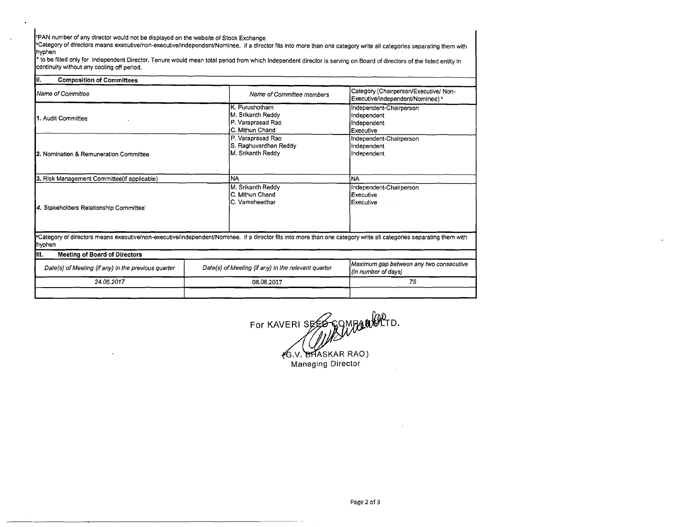'PAN number of any director would not be displayed on the website of Stock Exchange

Category of directors means executive/non-executive/independent/Nominee. if a director fits into more than one category write all categories separating them with hyphen

to be filled only for lndependent Director. Tenure would mean total period from which lndependent director is serving on Board of directors of the listed entity in continuity without any cooling off period.

| III.<br><b>Composition of Committees</b>            |                                                                                                                                                                    |                                                                            |  |
|-----------------------------------------------------|--------------------------------------------------------------------------------------------------------------------------------------------------------------------|----------------------------------------------------------------------------|--|
| Name of Committee                                   | Name of Committee members                                                                                                                                          | Category (Chairperson/Executive/ Non-<br>Executive/independent/Nominee) \$ |  |
| 1. Audit Committee                                  | K. Purushotham<br>M. Srikanth Reddy<br>P. Varaprasad Rao<br>C. Mithun Chand                                                                                        | Independent-Chairperson<br>Independent<br>Independent<br>Executive         |  |
| 2. Nomination & Remuneration Committee              | P. Varaprasad Rao<br>S. Raghuvardhan Reddy<br>M. Srikanth Reddy                                                                                                    | Independent-Chairperson<br>Independent<br>Independent                      |  |
| 3. Risk Management Committee(if applicable)         | <b>NA</b>                                                                                                                                                          | <b>NA</b>                                                                  |  |
| 4. Stakeholders Relationship Committee'             | M. Srikanth Reddy<br>C. Mithun Chand<br>C. Vamsheedhar                                                                                                             | Independent-Chairperson<br>Executive<br><b>Executive</b>                   |  |
| hyphen                                              | *Category of directors means executive/non-executive/independent/Nominee. if a director fits into more than one category write all categories separating them with |                                                                            |  |
| III.<br><b>Meeting of Board of Directors</b>        |                                                                                                                                                                    |                                                                            |  |
| Date(s) of Meeting (if any) in the previous quarter | Date(s) of Meeting (if any) in the relevant quarter                                                                                                                | Maximum gap between any two consecutive<br>(in number of days)             |  |
| 24.05.2017                                          | 08.08.2017                                                                                                                                                         | 75                                                                         |  |
|                                                     |                                                                                                                                                                    |                                                                            |  |

For KAVERI SEES COMPANIOPTD. G.V. BHASKAR RAO) Managing Director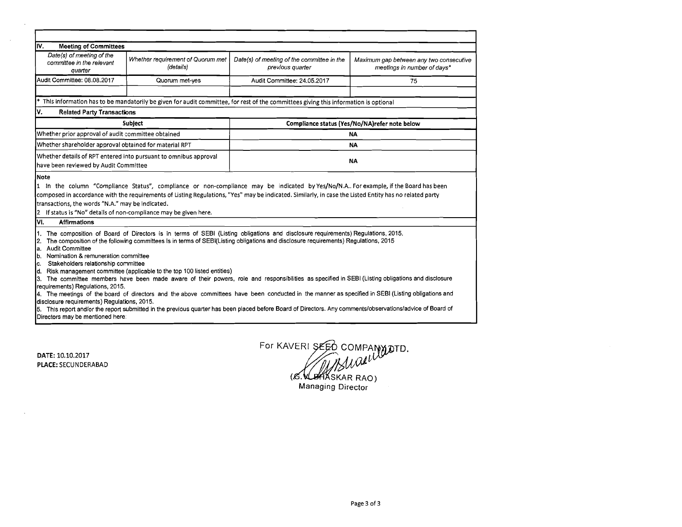| IV.<br><b>Meeting of Committees</b>                                                    |                                                                  |                                                                                                                                                                                                                                                                                               |                                                                        |  |
|----------------------------------------------------------------------------------------|------------------------------------------------------------------|-----------------------------------------------------------------------------------------------------------------------------------------------------------------------------------------------------------------------------------------------------------------------------------------------|------------------------------------------------------------------------|--|
|                                                                                        |                                                                  |                                                                                                                                                                                                                                                                                               |                                                                        |  |
|                                                                                        |                                                                  |                                                                                                                                                                                                                                                                                               |                                                                        |  |
| Date(s) of meeting of the<br>committee in the relevant<br>quarter                      | Whether requirement of Quorum met<br>(details)                   | Date(s) of meeting of the committee in the<br>previous quarter                                                                                                                                                                                                                                | Maximum gap between any two consecutive<br>meetings in number of days* |  |
| Audit Committee: 08.08.2017                                                            | Quorum met-yes                                                   | Audit Committee: 24.05.2017                                                                                                                                                                                                                                                                   | 75                                                                     |  |
|                                                                                        |                                                                  | This information has to be mandatorily be given for audit committee, for rest of the committees giving this information is optional                                                                                                                                                           |                                                                        |  |
| ۷.<br><b>Related Party Transactions</b>                                                |                                                                  |                                                                                                                                                                                                                                                                                               |                                                                        |  |
|                                                                                        | <b>Subject</b>                                                   |                                                                                                                                                                                                                                                                                               | Compliance status (Yes/No/NA)refer note below                          |  |
| Whether prior approval of audit committee obtained                                     |                                                                  | NA                                                                                                                                                                                                                                                                                            |                                                                        |  |
| Whether shareholder approval obtained for material RPT                                 |                                                                  | <b>NA</b>                                                                                                                                                                                                                                                                                     |                                                                        |  |
| have been reviewed by Audit Committee                                                  | Whether details of RPT entered into pursuant to omnibus approval | NΑ                                                                                                                                                                                                                                                                                            |                                                                        |  |
| transactions, the words "N.A." may be indicated.<br>12.<br>l۷۱.<br><b>Affirmations</b> | If status is "No" details of non-compliance may be given here.   | 1 In the column "Compliance Status", compliance or non-compliance may be indicated by Yes/No/N.A For example, if the Board has been<br>composed in accordance with the requirements of Listing Regulations, "Yes" may be indicated. Similarly, in case the Listed Entity has no related party |                                                                        |  |
|                                                                                        |                                                                  |                                                                                                                                                                                                                                                                                               |                                                                        |  |
|                                                                                        |                                                                  | The composition of Board of Directors is in terms of SEBI (Listing obligations and disclosure requirements) Regulations, 2015.                                                                                                                                                                |                                                                        |  |

DATE: 10.10.2017 PLACE: **SECUNDERABAD** 

 $\sim 10$ 

 $\sim$   $\sim$ 

For KAVERI SEED COMPANY OTD. Suaeure

(C. UMASKAR RAO)<br>Managing Director